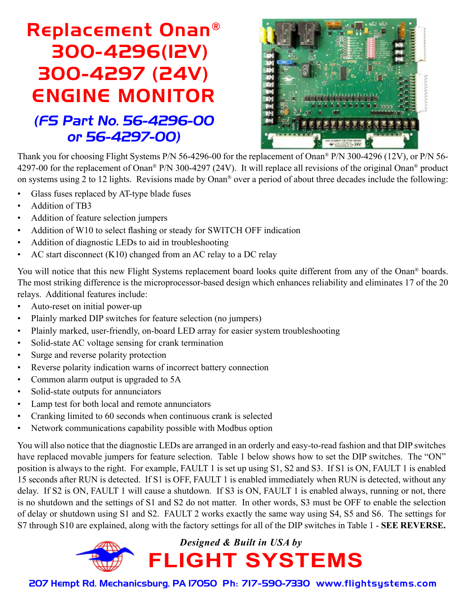## Replacement Onan® 300-4296(12V) 300-4297 (24V) ENGINE MONITOR (FS Part No. 56-4296-00 or 56-4297-00)



Thank you for choosing Flight Systems P/N 56-4296-00 for the replacement of Onan® P/N 300-4296 (12V), or P/N 56- 4297-00 for the replacement of Onan® P/N 300-4297 (24V). It will replace all revisions of the original Onan® product on systems using 2 to 12 lights. Revisions made by Onan® over a period of about three decades include the following:

- Glass fuses replaced by AT-type blade fuses
- Addition of TB3
- Addition of feature selection jumpers
- Addition of W10 to select flashing or steady for SWITCH OFF indication
- Addition of diagnostic LEDs to aid in troubleshooting
- AC start disconnect (K10) changed from an AC relay to a DC relay

You will notice that this new Flight Systems replacement board looks quite different from any of the Onan<sup>®</sup> boards. The most striking difference is the microprocessor-based design which enhances reliability and eliminates 17 of the 20 relays. Additional features include:

- Auto-reset on initial power-up
- Plainly marked DIP switches for feature selection (no jumpers)
- Plainly marked, user-friendly, on-board LED array for easier system troubleshooting
- Solid-state AC voltage sensing for crank termination
- Surge and reverse polarity protection
- Reverse polarity indication warns of incorrect battery connection
- Common alarm output is upgraded to 5A
- Solid-state outputs for annunciators
- Lamp test for both local and remote annunciators
- Cranking limited to 60 seconds when continuous crank is selected
- Network communications capability possible with Modbus option

You will also notice that the diagnostic LEDs are arranged in an orderly and easy-to-read fashion and that DIP switches have replaced movable jumpers for feature selection. Table 1 below shows how to set the DIP switches. The "ON" position is always to the right. For example, FAULT 1 is set up using S1, S2 and S3. If S1 is ON, FAULT 1 is enabled 15 seconds after RUN is detected. If S1 is OFF, FAULT 1 is enabled immediately when RUN is detected, without any delay. If S2 is ON, FAULT 1 will cause a shutdown. If S3 is ON, FAULT 1 is enabled always, running or not, there is no shutdown and the settings of S1 and S2 do not matter. In other words, S3 must be OFF to enable the selection of delay or shutdown using S1 and S2. FAULT 2 works exactly the same way using S4, S5 and S6. The settings for S7 through S10 are explained, along with the factory settings for all of the DIP switches in Table 1 - **SEE REVERSE.**



207 Hempt Rd. Mechanicsburg, PA 17050 Ph: 717-590-7330 www.flightsystems.com